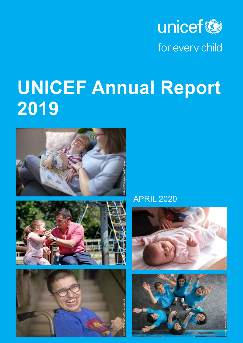

# **UNICEF Annual Report 2019**





APRIL 2020

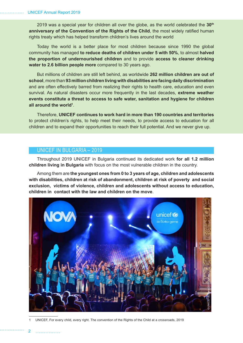2019 was a special year for children all over the globe, as the world celebrated the **30th anniversary of the Convention of the Rights of the Child**, the most widely ratified human rights treaty which has helped transform children's lives around the world

Today the world is a better place for most children because since 1990 the global community has managed **to reduce deaths of children under 5 with 50%**, to almost **halved the proportion of undernourished children** and to provide **access to cleaner drinking water to 2.6 billion people more** compared to 30 years ago.

But millions of children are still left behind, as worldwide **262 million children are out of school**, more than **93 million children living with disabilities are facing daily discrimination** and are often effectively barred from realizing their rights to health care, education and even survival. As natural disasters occur more frequently in the last decades, **extreme weather events constitute a threat to access to safe water, sanitation and hygiene for children all around the world1** .

Therefore, **UNICEF continues to work hard in more than 190 countries and territories**  to protect children's rights, to help meet their needs, to provide access to education for all children and to expand their opportunities to reach their full potential. And we never give up.

## UNICEF IN BULGARIA – 2019

Throughout 2019 UNICEF in Bulgaria continued its dedicated work **for all 1.2 million children living in Bulgaria** with focus on the most vulnerable children in the country.

Among them are **the youngest ones from 0 to 3 years of age, children and adolescents with disabilities, children at risk of abandonment, children at risk of poverty and social exclusion, victims of violence, children and adolescents without access to education, children in contact with the law and children on the move**.



1 UNICEF, For every child, every right. The convention of the Rights of the Child at a crossroads, 2019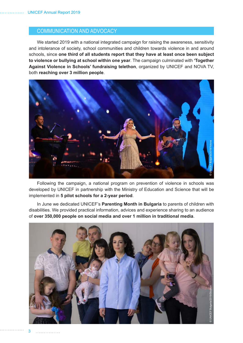# COMMUNICATION AND ADVOCACY

We started 2019 with a national integrated campaign for raising the awareness, sensitivity and intolerance of society, school communities and children towards violence in and around schools, since **one third of all students report that they have at least once been subject to violence or bullying at school within one year**. The campaign culminated with **'Together Against Violence in Schools' fundraising telethon**, organized by UNICEF and NOVA TV, both **reaching over 3 million people**.



Following the campaign, a national program on prevention of violence in schools was developed by UNICEF in partnership with the Ministry of Education and Science that will be implemented in **5 pilot schools for a 2-year period**.

In June we dedicated UNICEF's **Parenting Month in Bulgaria** to parents of children with disabilities. We provided practical information, advices and experience sharing to an audience of **over 350,000 people on social media and over 1 million in traditional media**.



3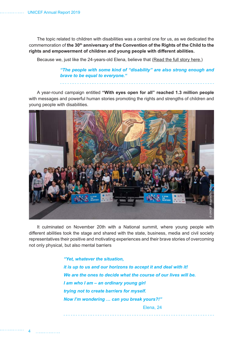The topic related to children with disabilities was a central one for us, as we dedicated the commemoration of the 30<sup>th</sup> anniversary of the Convention of the Rights of the Child to the **rights and empowerment of children and young people with different abilities.**

Because we, just like the 24-years-old Elena, believe that [\(Read the full story here.\)](https://www.unicef.org/bulgaria/en/stories/elena-ordinary-young-girl-trying-not-create-barriers-herself)

*"The people with some kind of "disability" are also strong enough and brave to be equal to everyone."*

A year-round campaign entitled **"With eyes open for all" reached 1.3 million people** with messages and powerful human stories promoting the rights and strengths of children and young people with disabilities.



It culminated on November 20th with a National summit, where young people with different abilities took the stage and shared with the state, business, media and civil society representatives their positive and motivating experiences and their brave stories of overcoming not only physical, but also mental barriers

> *"Yet, whatever the situation, it is up to us and our horizons to accept it and deal with it! We are the ones to decide what the course of our lives will be. I am who I am – an ordinary young girl trying not to create barriers for myself. Now I'm wondering … can you break yours?!"* Elena, 24

4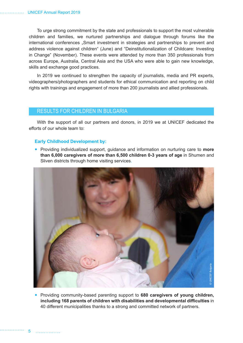To urge strong commitment by the state and professionals to support the most vulnerable children and families, we nurtured partnerships and dialogue through forums like the international conferences "Smart investment in strategies and partnerships to prevent and address violence against children" (June) and "Deinstitutionalization of Childcare: Investing in Change" (November). These events were attended by more than 350 professionals from across Europe, Australia, Central Asia and the USA who were able to gain new knowledge, skills and exchange good practices.

In 2019 we continued to strengthen the capacity of journalists, media and PR experts, videographers/photographers and students for ethical communication and reporting on child rights with trainings and engagement of more than 200 journalists and allied professionals.

# RESULTS FOR CHILDREN IN BULGARIA

With the support of all our partners and donors, in 2019 we at UNICEF dedicated the efforts of our whole team to:

#### **Early Childhood Development by:**

 Providing individualized support, guidance and information on nurturing care to **more than 6,000 caregivers of more than 6,500 children 0-3 years of age** in Shumen and Sliven districts through home visiting services.



 Providing community-based parenting support to **680 caregivers of young children, including 168 parents of children with disabilities and developmental difficulties** in 40 different municipalities thanks to a strong and committed network of partners.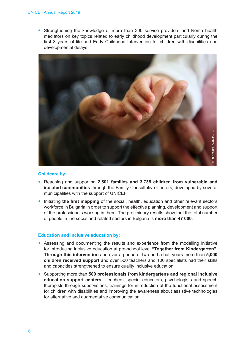Strengthening the knowledge of more than 300 service providers and Roma health mediators on key topics related to early childhood development particularly during the first 3 years of life and Early Childhood Intervention for children with disabilities and developmental delays.



#### **Childcare by:**

- Reaching and supporting **2,501 families and 3,735 children from vulnerable and isolated communities** through the Family Consultative Centers, developed by several municipalities with the support of UNICEF.
- Initiating **the first mapping** of the social, health, education and other relevant sectors workforce in Bulgaria in order to support the effective planning, development and support of the professionals working in them. The preliminary results show that the total number of people in the social and related sectors in Bulgaria is **more than 47 000**.

#### **Education and inclusive education by:**

- Assessing and documenting the results and experience from the modelling initiative for introducing inclusive education at pre-school level **"Together from Kindergarten"**. **Through this intervention** and over a period of two and a half years more than **5,000 children received support** and over 500 teachers and 100 specialists had their skills and capacities strengthened to ensure quality inclusive education.
- Supporting more than **500 professionals from kindergartens and regional inclusive education support centers** - teachers, special educators, psychologists and speech therapists through supervisions, trainings for introduction of the functional assessment for children with disabilities and improving the awareness about assistive technologies for alternative and augmentative communication.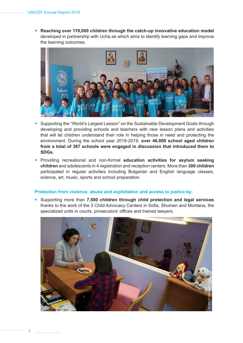**Reaching over 119,000 children through the catch-up innovative education model** developed in partnership with Ucha.se which aims to identify learning gaps and improve the learning outcomes.



- Supporting the "World's Largest Lesson" on the Sustainable Development Goals through developing and providing schools and teachers with new lesson plans and activities that will let children understand their role in helping those in need and protecting the environment. During the school year 2018-2019, **over 46,600 school aged children from a total of 367 schools were engaged in discussion that introduced them to SDGs**.
- Providing recreational and non-formal **education activities for asylum seeking children** and adolescents in 4 registration and reception centers. More than **300 children**  participated in regular activities including Bulgarian and English language classes, science, art, music, sports and school preparation.

#### **Protection from violence, abuse and exploitation and access to justice by:**

 Supporting more than **7,500 children through child protection and legal services** thanks to the work of the 3 Child Advocacy Centers in Sofia, Shumen and Montana, the specialized units in courts, prosecutors' offices and trained lawyers.

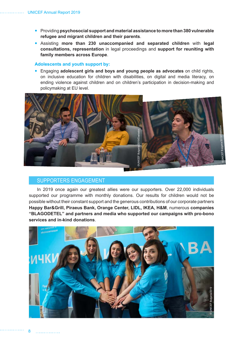- Providing **psychosocial support and material assistance to more than 380 vulnerable refugee and migrant children and their parents**.
- Assisting **more than 230 unaccompanied and separated children** with **legal consultations, representation** in legal proceedings and **support for reuniting with family members across Europe**.

#### **Adolescents and youth support by:**

 Engaging **adolescent girls and boys and young people as advocates** on child rights, on inclusive education for children with disabilities, on digital and media literacy, on ending violence against children and on children's participation in decision-making and policymaking at EU level.



### SUPPORTERS ENGAGEMENT

In 2019 once again our greatest allies were our supporters. Over 22,000 individuals supported our programme with monthly donations. Our results for children would not be possible without their constant support and the generous contributions of our corporate partners **Happy Bar&Grill, Piraeus Bank, Orange Center, LIDL, IKEA, H&M**, numerous **companies "BLAGODETEL" and partners and media who supported our campaigns with pro-bono services and in-kind donations**.

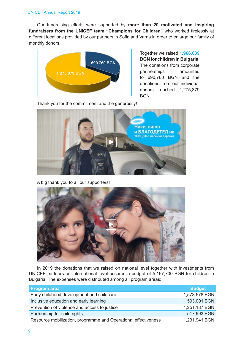Our fundraising efforts were supported by **more than 20 motivated and inspiring fundraisers from the UNICEF team "Champions for Children"** who worked tirelessly at different locations provided by our partners in Sofia and Varna in order to enlarge our family of monthly donors.



Together we raised **1,966,639 BGN for children in Bulgaria**. The donations from corporate partnerships amounted to 690,760 BGN and the donations from our individual donors reached 1,275,879 BGN.

Thank you for the commitment and the generosity!



A big thank you to all our supporters!



In 2019 the donations that we raised on national level together with investments from UNICEF partners on international level assured a budget of 5,167,700 BGN for children in Bulgaria. The expenses were distributed among all program areas:

| Program area                                                   | <b>Budget</b> |
|----------------------------------------------------------------|---------------|
| Early childhood development and childcare                      | 1,573,578 BGN |
| Inclusive education and early learning                         | 593,001 BGN   |
| Prevention of violence and access to justice                   | 1,251,187 BGN |
| Partnership for child rights                                   | 517,993 BGN   |
| Resource mobilization, programme and Operational effectiveness | 1,231,941 BGN |